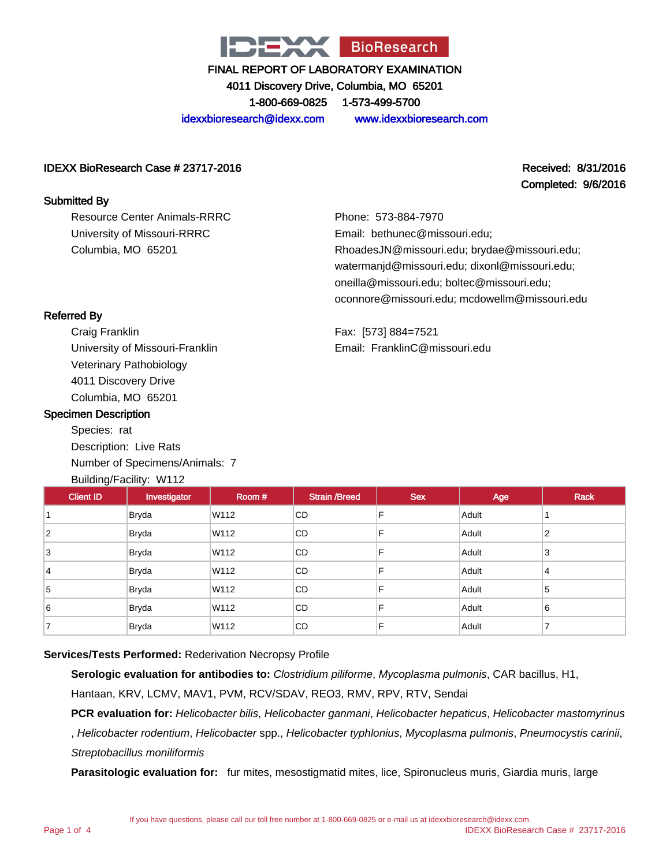

4011 Discovery Drive, Columbia, MO 65201

1-800-669-0825 1-573-499-5700

idexxbioresearch@idexx.com www.idexxbioresearch.com

### IDEXX BioResearch Case # 23717-2016 Received: 8/31/2016

Completed: 9/6/2016

#### Submitted By

Resource Center Animals-RRRC University of Missouri-RRRC Columbia, MO 65201

Phone: 573-884-7970 Email: bethunec@missouri.edu; RhoadesJN@missouri.edu; brydae@missouri.edu; watermanjd@missouri.edu; dixonl@missouri.edu; oneilla@missouri.edu; boltec@missouri.edu; oconnore@missouri.edu; mcdowellm@missouri.edu

Fax: [573] 884=7521 Email: FranklinC@missouri.edu

## Referred By

Craig Franklin University of Missouri-Franklin Veterinary Pathobiology 4011 Discovery Drive Columbia, MO 65201

#### Specimen Description

Species: rat Description: Live Rats Number of Specimens/Animals: 7 Building/Facility: W112

| <b>Client ID</b> | Investigator | Room # | <b>Strain /Breed</b> | <b>Sex</b> | Age   | <b>Rack</b> |
|------------------|--------------|--------|----------------------|------------|-------|-------------|
|                  | Bryda        | W112   | <b>CD</b>            | F          | Adult |             |
| $\overline{2}$   | <b>Bryda</b> | W112   | CD                   | F          | Adult | 2           |
| 3                | <b>Bryda</b> | W112   | <b>CD</b>            | F          | Adult | 3           |
| 14               | <b>Bryda</b> | W112   | <b>CD</b>            | F          | Adult | 4           |
| 5                | <b>Bryda</b> | W112   | <b>CD</b>            | F          | Adult | 5           |
| 6                | <b>Bryda</b> | W112   | <b>CD</b>            | F          | Adult | 6           |
|                  | <b>Bryda</b> | W112   | CD                   | F          | Adult | ⇁           |

## **Services/Tests Performed:** Rederivation Necropsy Profile

**Serologic evaluation for antibodies to:** Clostridium piliforme, Mycoplasma pulmonis, CAR bacillus, H1,

Hantaan, KRV, LCMV, MAV1, PVM, RCV/SDAV, REO3, RMV, RPV, RTV, Sendai

PCR evaluation for: Helicobacter bilis, Helicobacter ganmani, Helicobacter hepaticus, Helicobacter mastomyrinus

, Helicobacter rodentium, Helicobacter spp., Helicobacter typhlonius, Mycoplasma pulmonis, Pneumocystis carinii, Streptobacillus moniliformis

**Parasitologic evaluation for:** fur mites, mesostigmatid mites, lice, Spironucleus muris, Giardia muris, large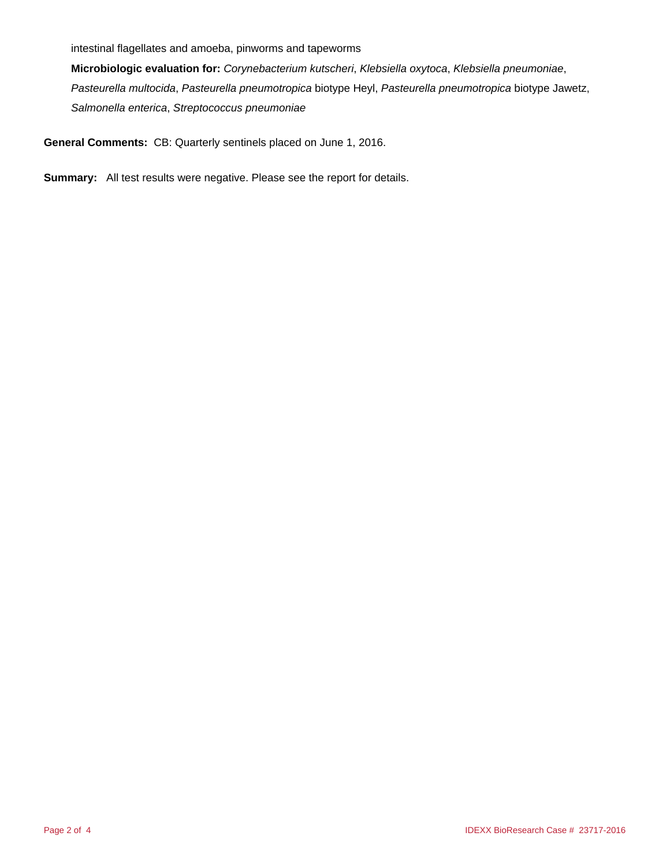intestinal flagellates and amoeba, pinworms and tapeworms

**Microbiologic evaluation for:** Corynebacterium kutscheri, Klebsiella oxytoca, Klebsiella pneumoniae, Pasteurella multocida, Pasteurella pneumotropica biotype Heyl, Pasteurella pneumotropica biotype Jawetz, Salmonella enterica, Streptococcus pneumoniae

**General Comments:** CB: Quarterly sentinels placed on June 1, 2016.

**Summary:** All test results were negative. Please see the report for details.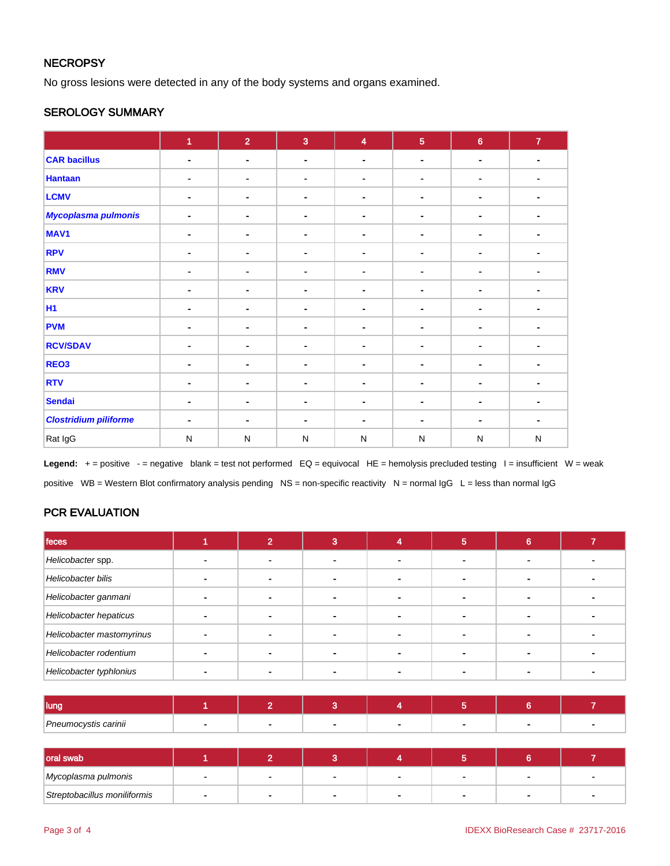## **NECROPSY**

No gross lesions were detected in any of the body systems and organs examined.

## SEROLOGY SUMMARY

|                              | $\overline{1}$ | $\overline{2}$               | $\overline{3}$ | $\overline{\mathbf{4}}$ | $\overline{5}$ | $\bf 6$                  | $\mathbf{7}$   |
|------------------------------|----------------|------------------------------|----------------|-------------------------|----------------|--------------------------|----------------|
| <b>CAR bacillus</b>          | $\blacksquare$ | $\blacksquare$               | $\blacksquare$ | $\blacksquare$          | ۰              | $\blacksquare$           | $\blacksquare$ |
| <b>Hantaan</b>               | ۰              | ۰                            | $\blacksquare$ | ٠                       | ۰              | ٠                        |                |
| <b>LCMV</b>                  | ٠              | $\blacksquare$               | $\blacksquare$ |                         | $\blacksquare$ | ۰                        |                |
| Mycoplasma pulmonis          | $\blacksquare$ | $\blacksquare$               | $\blacksquare$ |                         | $\blacksquare$ | ۰                        |                |
| MAV <sub>1</sub>             | ۰              | $\blacksquare$               | $\blacksquare$ |                         | ۰              | ٠                        |                |
| <b>RPV</b>                   | $\blacksquare$ | -                            | $\blacksquare$ | $\blacksquare$          |                | $\overline{\phantom{a}}$ | ٠              |
| <b>RMV</b>                   | ۰              | $\blacksquare$               | $\blacksquare$ |                         | ٠              | ۰                        |                |
| <b>KRV</b>                   | $\blacksquare$ | $\blacksquare$               | $\blacksquare$ |                         | ۰              | ٠                        |                |
| <b>H1</b>                    |                | $\qquad \qquad \blacksquare$ | $\blacksquare$ |                         | $\blacksquare$ | $\blacksquare$           |                |
| <b>PVM</b>                   | $\blacksquare$ | $\blacksquare$               | $\blacksquare$ |                         | ۰              | ۰                        |                |
| <b>RCV/SDAV</b>              | ٠              | ۰                            | $\blacksquare$ | $\blacksquare$          | ۰              | ٠                        | ٠              |
| REO <sub>3</sub>             | ٠              | $\blacksquare$               | $\sim$         | ٠                       | $\blacksquare$ | ۰                        |                |
| <b>RTV</b>                   | $\blacksquare$ | $\blacksquare$               | $\blacksquare$ |                         | ۰.             | ٠                        |                |
| <b>Sendai</b>                | $\blacksquare$ | $\blacksquare$               | ٠              |                         | ۰.             | $\blacksquare$           |                |
| <b>Clostridium piliforme</b> | ٠              | $\blacksquare$               | $\blacksquare$ |                         | $\blacksquare$ |                          |                |
| Rat IgG                      | $\mathsf{N}$   | ${\sf N}$                    | $\mathsf{N}$   | N                       | ${\sf N}$      | ${\sf N}$                | $\mathsf{N}$   |

Legend: + = positive - = negative blank = test not performed EQ = equivocal HE = hemolysis precluded testing I = insufficient W = weak positive WB = Western Blot confirmatory analysis pending NS = non-specific reactivity N = normal IgG L = less than normal IgG

# PCR EVALUATION

| feces                     |  |                          | Ð | ⌒ |  |
|---------------------------|--|--------------------------|---|---|--|
| Helicobacter spp.         |  |                          |   |   |  |
| Helicobacter bilis        |  |                          |   |   |  |
| Helicobacter ganmani      |  |                          |   |   |  |
| Helicobacter hepaticus    |  | $\overline{\phantom{0}}$ |   |   |  |
| Helicobacter mastomyrinus |  |                          |   |   |  |
| Helicobacter rodentium    |  |                          |   |   |  |
| Helicobacter typhlonius   |  |                          |   |   |  |

| I luna               |  |  |  |  |
|----------------------|--|--|--|--|
| Pneumocystis carinii |  |  |  |  |

| oral swab                    |  |                |  |                          |
|------------------------------|--|----------------|--|--------------------------|
| Mycoplasma pulmonis          |  | $\blacksquare$ |  | $\overline{\phantom{a}}$ |
| Streptobacillus moniliformis |  |                |  |                          |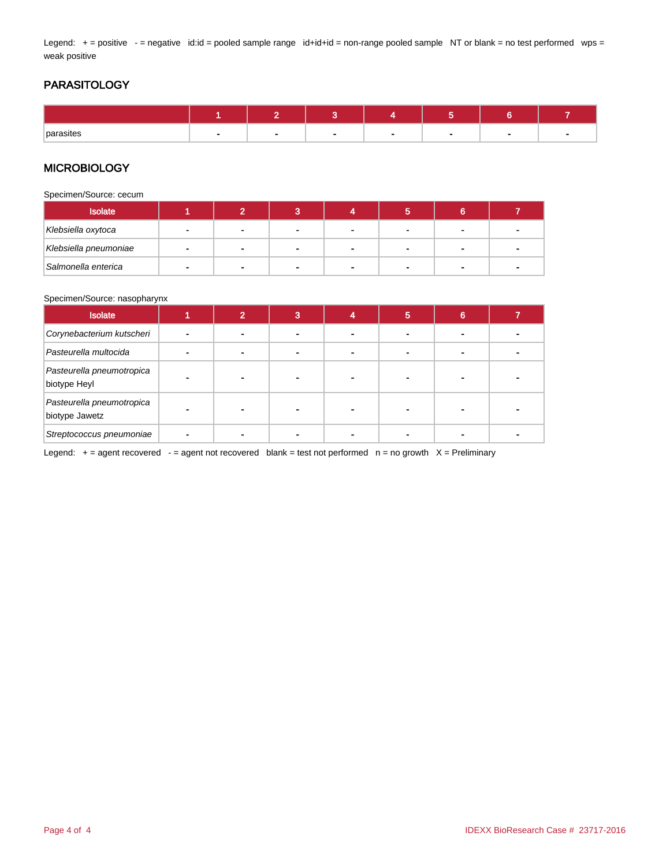Legend: + = positive - = negative id:id = pooled sample range id+id+id = non-range pooled sample NT or blank = no test performed wps = weak positive

## PARASITOLOGY

| parasites |  |  |  |  |
|-----------|--|--|--|--|

#### **MICROBIOLOGY**

Specimen/Source: cecum

| <b>Isolate</b>        |        |                |   |  |                          |   |
|-----------------------|--------|----------------|---|--|--------------------------|---|
| Klebsiella oxytoca    |        |                |   |  |                          |   |
| Klebsiella pneumoniae | $\sim$ | $\blacksquare$ | - |  | $\overline{\phantom{a}}$ | - |
| Salmonella enterica   |        | $\blacksquare$ |   |  | -                        |   |

#### Specimen/Source: nasopharynx

| <b>Isolate</b>                              | $\overline{ }$ | 3 | 5 | 6 |  |
|---------------------------------------------|----------------|---|---|---|--|
| Corynebacterium kutscheri                   |                |   |   |   |  |
| Pasteurella multocida                       |                |   |   |   |  |
| Pasteurella pneumotropica<br>biotype Heyl   |                |   |   |   |  |
| Pasteurella pneumotropica<br>biotype Jawetz |                |   |   |   |  |
| Streptococcus pneumoniae                    |                |   |   |   |  |

Legend:  $+$  = agent recovered  $-$  = agent not recovered blank = test not performed  $n$  = no growth  $X$  = Preliminary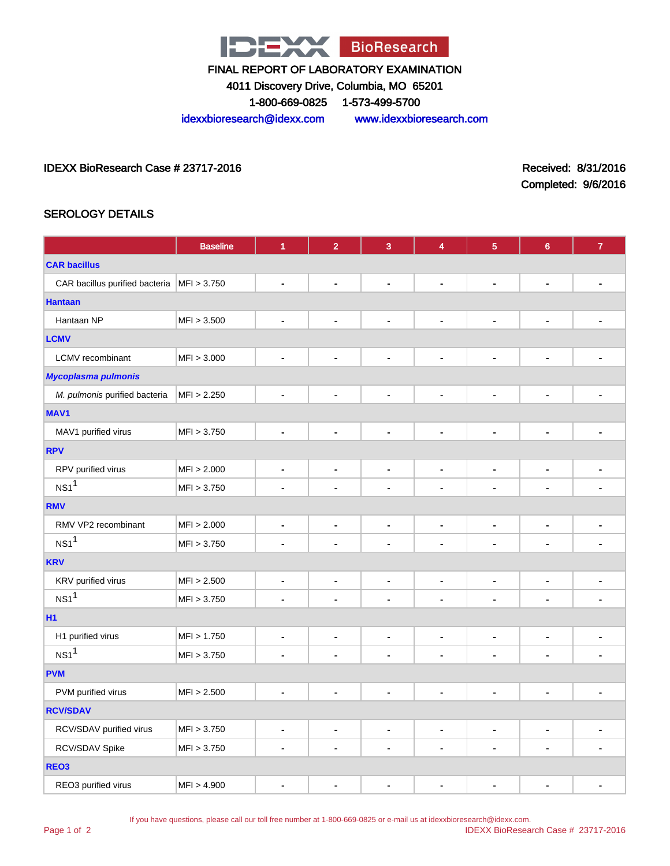

4011 Discovery Drive, Columbia, MO 65201

1-800-669-0825 1-573-499-5700

idexxbioresearch@idexx.com www.idexxbioresearch.com

#### IDEXX BioResearch Case # 23717-2016 Received: 8/31/2016

Completed: 9/6/2016

## SEROLOGY DETAILS

|                                              | <b>Baseline</b> | $\blacktriangleleft$         | $\overline{2}$               | $\overline{3}$               | 4                            | $\overline{\mathbf{5}}$      | $\bf{6}$                     | $\overline{7}$               |  |
|----------------------------------------------|-----------------|------------------------------|------------------------------|------------------------------|------------------------------|------------------------------|------------------------------|------------------------------|--|
| <b>CAR bacillus</b>                          |                 |                              |                              |                              |                              |                              |                              |                              |  |
| CAR bacillus purified bacteria   MFI > 3.750 |                 | $\blacksquare$               | $\blacksquare$               | $\blacksquare$               | $\blacksquare$               | $\blacksquare$               | $\blacksquare$               |                              |  |
| <b>Hantaan</b>                               |                 |                              |                              |                              |                              |                              |                              |                              |  |
| Hantaan NP                                   | MFI > 3.500     | $\blacksquare$               | $\blacksquare$               | $\blacksquare$               | $\blacksquare$               | $\blacksquare$               | $\blacksquare$               | $\blacksquare$               |  |
| <b>LCMV</b>                                  |                 |                              |                              |                              |                              |                              |                              |                              |  |
| <b>LCMV</b> recombinant                      | MFI > 3.000     | $\blacksquare$               | $\qquad \qquad \blacksquare$ | $\qquad \qquad \blacksquare$ | $\overline{\phantom{a}}$     | $\qquad \qquad \blacksquare$ | $\overline{\phantom{a}}$     | $\qquad \qquad \blacksquare$ |  |
| Mycoplasma pulmonis                          |                 |                              |                              |                              |                              |                              |                              |                              |  |
| M. pulmonis purified bacteria                | MFI > 2.250     | $\blacksquare$               | $\qquad \qquad \blacksquare$ | $\blacksquare$               | $\blacksquare$               | $\blacksquare$               | $\blacksquare$               | ÷,                           |  |
| MAV <sub>1</sub>                             |                 |                              |                              |                              |                              |                              |                              |                              |  |
| MAV1 purified virus                          | MFI > 3.750     | $\blacksquare$               | $\blacksquare$               | $\blacksquare$               | $\blacksquare$               | $\blacksquare$               | $\blacksquare$               | $\blacksquare$               |  |
| <b>RPV</b>                                   |                 |                              |                              |                              |                              |                              |                              |                              |  |
| RPV purified virus                           | MFI > 2.000     | $\blacksquare$               | $\qquad \qquad \blacksquare$ | $\qquad \qquad \blacksquare$ | $\overline{\phantom{a}}$     | $\overline{\phantom{a}}$     | $\blacksquare$               | $\blacksquare$               |  |
| NS1 <sup>1</sup>                             | MFI > 3.750     | $\blacksquare$               | ä,                           | ä,                           | $\blacksquare$               | ä,                           | $\ddot{\phantom{1}}$         |                              |  |
| <b>RMV</b>                                   |                 |                              |                              |                              |                              |                              |                              |                              |  |
| RMV VP2 recombinant                          | MFI > 2.000     | $\blacksquare$               | $\qquad \qquad \blacksquare$ | $\qquad \qquad \blacksquare$ | $\qquad \qquad \blacksquare$ | $\blacksquare$               | $\qquad \qquad \blacksquare$ | $\blacksquare$               |  |
| NS1 <sup>1</sup>                             | MFI > 3.750     | $\blacksquare$               | $\blacksquare$               | $\blacksquare$               | $\blacksquare$               | $\blacksquare$               | $\blacksquare$               | ۰                            |  |
| <b>KRV</b>                                   |                 |                              |                              |                              |                              |                              |                              |                              |  |
| KRV purified virus                           | MFI > 2.500     | $\blacksquare$               | $\qquad \qquad \blacksquare$ | $\qquad \qquad \blacksquare$ | $\overline{\phantom{a}}$     | $\overline{\phantom{a}}$     | $\qquad \qquad \blacksquare$ | $\blacksquare$               |  |
| NS1 <sup>1</sup>                             | MFI > 3.750     | $\blacksquare$               | ä,                           | ä,                           | ä,                           | ä,                           | ä,                           |                              |  |
| <b>H1</b>                                    |                 |                              |                              |                              |                              |                              |                              |                              |  |
| H1 purified virus                            | MFI > 1.750     | $\qquad \qquad \blacksquare$ | $\qquad \qquad \blacksquare$ | $\qquad \qquad \blacksquare$ | $\overline{\phantom{a}}$     | $\blacksquare$               | $\overline{\phantom{a}}$     | $\blacksquare$               |  |
| NS1 <sup>1</sup>                             | MFI > 3.750     | $\blacksquare$               | $\blacksquare$               | $\blacksquare$               | $\blacksquare$               | $\blacksquare$               | $\blacksquare$               | ۰                            |  |
| <b>PVM</b>                                   |                 |                              |                              |                              |                              |                              |                              |                              |  |
| PVM purified virus                           | MFI > 2.500     | $\blacksquare$               | $\qquad \qquad \blacksquare$ | $\qquad \qquad \blacksquare$ | $\overline{\phantom{a}}$     | $\qquad \qquad \blacksquare$ | $\overline{\phantom{a}}$     | ÷,                           |  |
| <b>RCV/SDAV</b>                              |                 |                              |                              |                              |                              |                              |                              |                              |  |
| RCV/SDAV purified virus                      | MFI > 3.750     | $\blacksquare$               | $\qquad \qquad \blacksquare$ | $\qquad \qquad \blacksquare$ | $\blacksquare$               | $\blacksquare$               | $\blacksquare$               | $\blacksquare$               |  |
| RCV/SDAV Spike                               | MFI > 3.750     | $\blacksquare$               | ä,                           | $\qquad \qquad \blacksquare$ | $\blacksquare$               | $\blacksquare$               | ä,                           | $\blacksquare$               |  |
| REO <sub>3</sub>                             |                 |                              |                              |                              |                              |                              |                              |                              |  |
| REO3 purified virus                          | MFI > 4.900     | $\blacksquare$               | $\blacksquare$               | $\blacksquare$               | $\blacksquare$               | ٠                            | $\blacksquare$               | ٠                            |  |

If you have questions, please call our toll free number at 1-800-669-0825 or e-mail us at idexxbioresearch@idexx.com.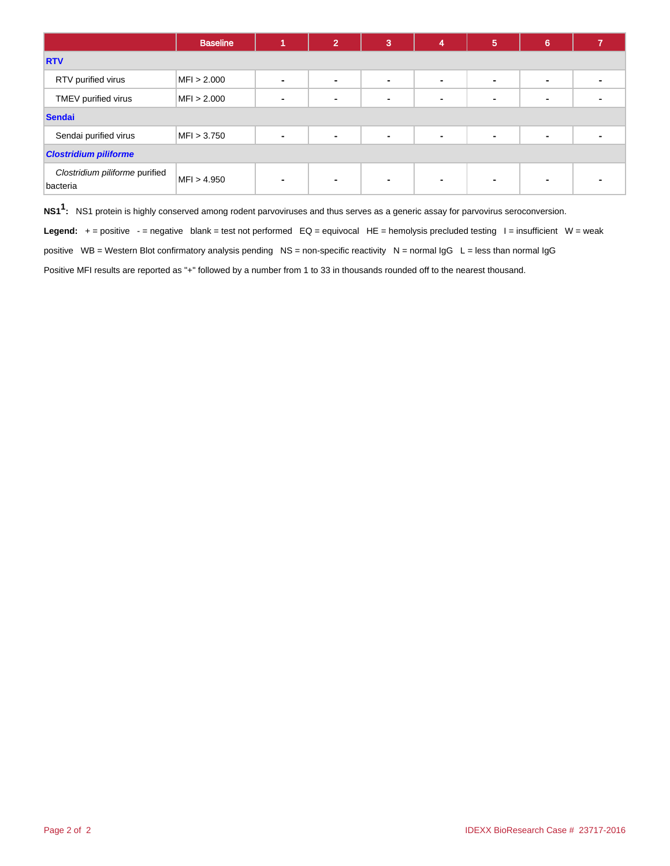|                                            | <b>Baseline</b> |                          | $\mathbf{2}^{\prime}$ | 3              | 4              | 5 | 6              |  |
|--------------------------------------------|-----------------|--------------------------|-----------------------|----------------|----------------|---|----------------|--|
| <b>RTV</b>                                 |                 |                          |                       |                |                |   |                |  |
| RTV purified virus                         | MFI > 2.000     | $\blacksquare$           | ۰                     | $\blacksquare$ | $\blacksquare$ |   | $\blacksquare$ |  |
| TMEV purified virus                        | MFI > 2.000     | $\blacksquare$           | $\blacksquare$        | $\blacksquare$ | $\blacksquare$ |   | -              |  |
| <b>Sendai</b>                              |                 |                          |                       |                |                |   |                |  |
| Sendai purified virus                      | MFI > 3.750     | $\blacksquare$           | $\blacksquare$        | $\blacksquare$ | $\blacksquare$ |   | $\blacksquare$ |  |
| <b>Clostridium piliforme</b>               |                 |                          |                       |                |                |   |                |  |
| Clostridium piliforme purified<br>bacteria | MFI > 4.950     | $\overline{\phantom{0}}$ | $\blacksquare$        | $\blacksquare$ | $\blacksquare$ |   | -              |  |

**NS11 :** NS1 protein is highly conserved among rodent parvoviruses and thus serves as a generic assay for parvovirus seroconversion.

Legend: + = positive - = negative blank = test not performed EQ = equivocal HE = hemolysis precluded testing I = insufficient W = weak

positive WB = Western Blot confirmatory analysis pending NS = non-specific reactivity N = normal IgG L = less than normal IgG

Positive MFI results are reported as "+" followed by a number from 1 to 33 in thousands rounded off to the nearest thousand.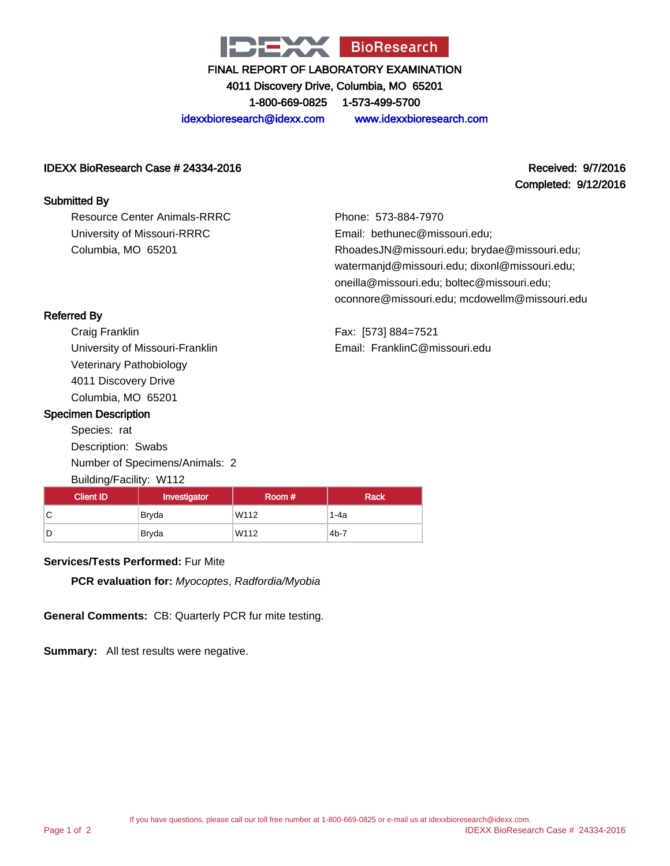

4011 Discovery Drive, Columbia, MO 65201

1-800-669-0825 1-573-499-5700

idexxbioresearch@idexx.com www.idexxbioresearch.com

#### IDEXX BioResearch Case # 24334-2016 Received: 9/7/2016

# Completed: 9/12/2016

#### Submitted By

Resource Center Animals-RRRC University of Missouri-RRRC Columbia, MO 65201

Phone: 573-884-7970 Email: bethunec@missouri.edu; RhoadesJN@missouri.edu; brydae@missouri.edu; watermanjd@missouri.edu; dixonl@missouri.edu; oneilla@missouri.edu; boltec@missouri.edu; oconnore@missouri.edu; mcdowellm@missouri.edu

Fax: [573] 884=7521 Email: FranklinC@missouri.edu

## Referred By

Craig Franklin University of Missouri-Franklin Veterinary Pathobiology 4011 Discovery Drive Columbia, MO 65201

### Specimen Description

Species: rat Description: Swabs Number of Specimens/Animals: 2 Building/Facility: W112

| <b>Client ID</b> | Investigator | l Room # | <b>Rack</b> |
|------------------|--------------|----------|-------------|
| C                | Bryda        | W112     | 1-4a        |
| D                | Bryda        | W112     | $4b-7$      |

## **Services/Tests Performed:** Fur Mite

**PCR evaluation for:** Myocoptes, Radfordia/Myobia

**General Comments:** CB: Quarterly PCR fur mite testing.

**Summary:** All test results were negative.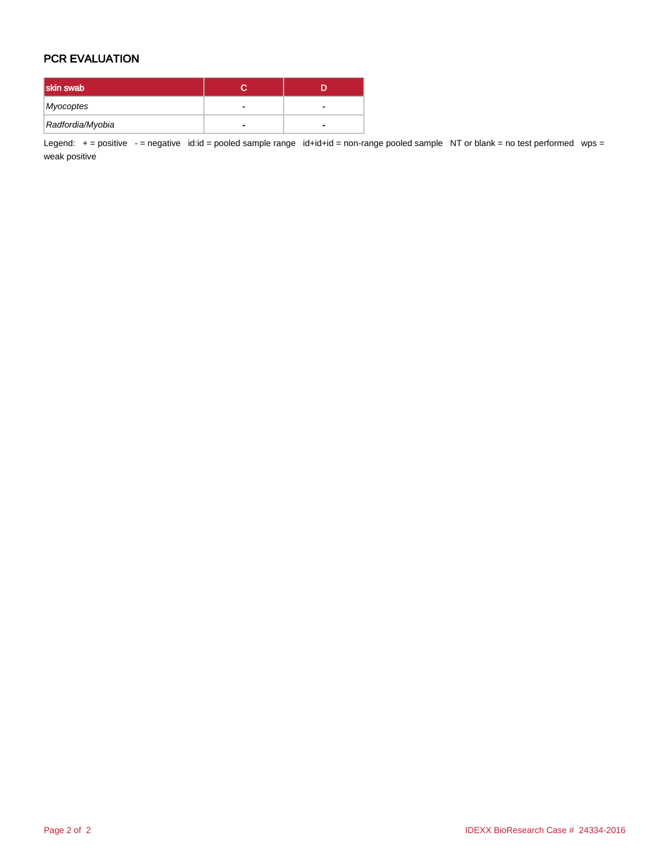## PCR EVALUATION

| skin swab        |   |
|------------------|---|
| Myocoptes        |   |
| Radfordia/Myobia | - |

Legend: + = positive - = negative id:id = pooled sample range id+id+id = non-range pooled sample NT or blank = no test performed wps = weak positive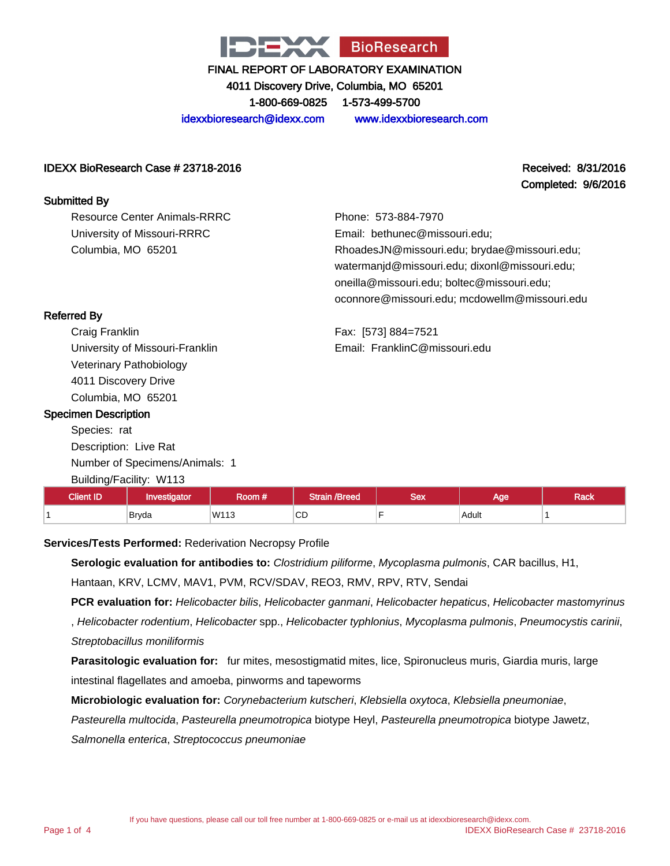

4011 Discovery Drive, Columbia, MO 65201 1-800-669-0825 1-573-499-5700

idexxbioresearch@idexx.com www.idexxbioresearch.com

### IDEXX BioResearch Case # 23718-2016 Received: 8/31/2016

Completed: 9/6/2016

#### Submitted By

Resource Center Animals-RRRC University of Missouri-RRRC Columbia, MO 65201

Phone: 573-884-7970 Email: bethunec@missouri.edu; RhoadesJN@missouri.edu; brydae@missouri.edu; watermanjd@missouri.edu; dixonl@missouri.edu; oneilla@missouri.edu; boltec@missouri.edu; oconnore@missouri.edu; mcdowellm@missouri.edu

Fax: [573] 884=7521 Email: FranklinC@missouri.edu

Craig Franklin University of Missouri-Franklin Veterinary Pathobiology 4011 Discovery Drive Columbia, MO 65201

#### Specimen Description

Species: rat Description: Live Rat Number of Specimens/Animals: 1 Building/Facility: W113

| <b>Client ID</b> | Investigator | Room # | <b>Strain /Breed</b> | ื≏∾<br>DUA | Age   | <b>Rack</b> |
|------------------|--------------|--------|----------------------|------------|-------|-------------|
|                  | <b>Bryda</b> | W113   | $\cap$<br>◡◡<br>_    |            | Adult |             |

#### **Services/Tests Performed:** Rederivation Necropsy Profile

**Serologic evaluation for antibodies to:** Clostridium piliforme, Mycoplasma pulmonis, CAR bacillus, H1, Hantaan, KRV, LCMV, MAV1, PVM, RCV/SDAV, REO3, RMV, RPV, RTV, Sendai

**PCR evaluation for:** Helicobacter bilis, Helicobacter ganmani, Helicobacter hepaticus, Helicobacter mastomyrinus

, Helicobacter rodentium, Helicobacter spp., Helicobacter typhlonius, Mycoplasma pulmonis, Pneumocystis carinii, Streptobacillus moniliformis

**Parasitologic evaluation for:** fur mites, mesostigmatid mites, lice, Spironucleus muris, Giardia muris, large intestinal flagellates and amoeba, pinworms and tapeworms

**Microbiologic evaluation for:** Corynebacterium kutscheri, Klebsiella oxytoca, Klebsiella pneumoniae,

Pasteurella multocida, Pasteurella pneumotropica biotype Heyl, Pasteurella pneumotropica biotype Jawetz,

Salmonella enterica, Streptococcus pneumoniae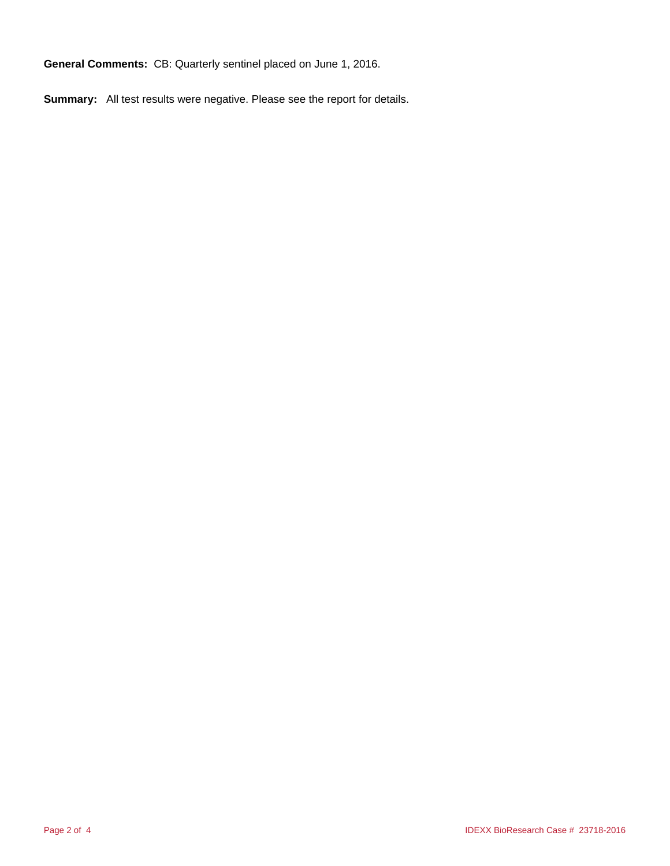**General Comments:** CB: Quarterly sentinel placed on June 1, 2016.

**Summary:** All test results were negative. Please see the report for details.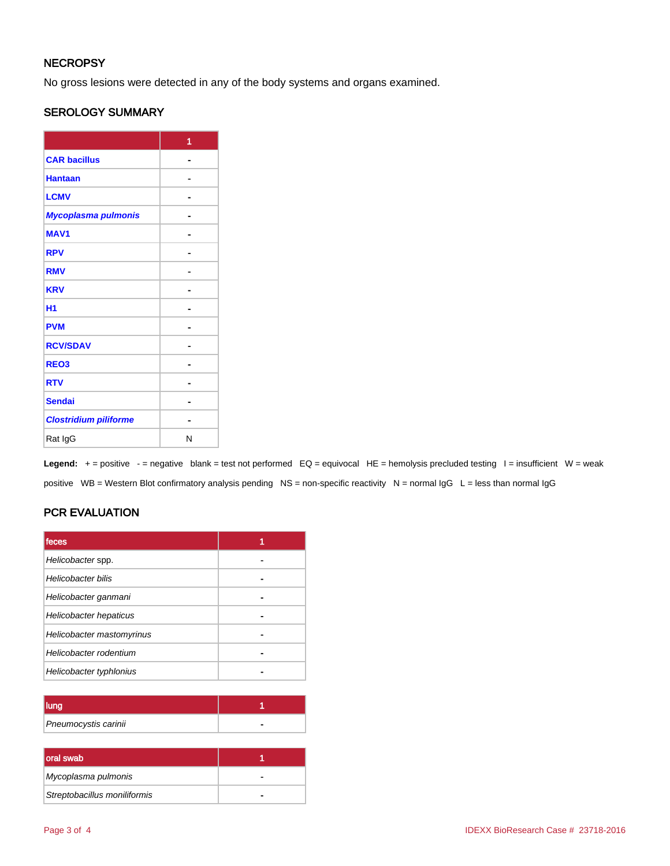## **NECROPSY**

No gross lesions were detected in any of the body systems and organs examined.

## SEROLOGY SUMMARY

|                              | 1 |
|------------------------------|---|
| <b>CAR bacillus</b>          |   |
| <b>Hantaan</b>               |   |
| <b>LCMV</b>                  |   |
| Mycoplasma pulmonis          |   |
| <b>MAV1</b>                  |   |
| <b>RPV</b>                   |   |
| <b>RMV</b>                   |   |
| <b>KRV</b>                   |   |
| H <sub>1</sub>               |   |
| <b>PVM</b>                   |   |
| <b>RCV/SDAV</b>              |   |
| REO <sub>3</sub>             |   |
| <b>RTV</b>                   |   |
| <b>Sendai</b>                |   |
| <b>Clostridium piliforme</b> |   |
| Rat IgG                      | N |

Legend: + = positive - = negative blank = test not performed EQ = equivocal HE = hemolysis precluded testing I = insufficient W = weak positive WB = Western Blot confirmatory analysis pending NS = non-specific reactivity N = normal IgG L = less than normal IgG

# PCR EVALUATION

| <b>Ifeces</b>             |  |
|---------------------------|--|
| Helicobacter spp.         |  |
| Helicobacter bilis        |  |
| Helicobacter ganmani      |  |
| Helicobacter hepaticus    |  |
| Helicobacter mastomyrinus |  |
| Helicobacter rodentium    |  |
| Helicobacter typhlonius   |  |

| Pneumocystis carinii |  |
|----------------------|--|

| oral swab                    |  |
|------------------------------|--|
| Mycoplasma pulmonis          |  |
| Streptobacillus moniliformis |  |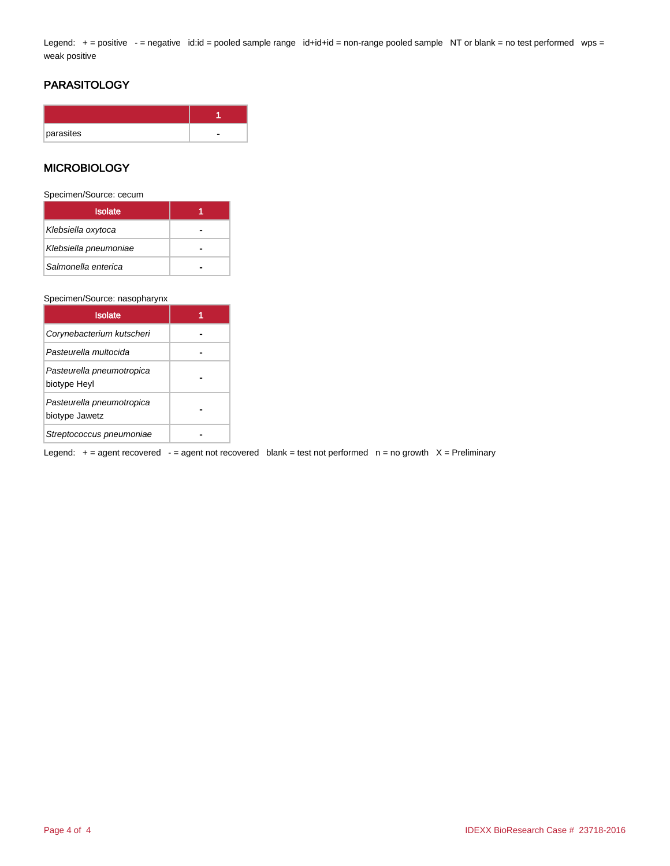Legend: + = positive - = negative id:id = pooled sample range id+id+id = non-range pooled sample NT or blank = no test performed wps = weak positive

## **PARASITOLOGY**

| parasites |  |
|-----------|--|

#### **MICROBIOLOGY**

Specimen/Source: cecum

| <b>Isolate</b>        |  |
|-----------------------|--|
| Klebsiella oxytoca    |  |
| Klebsiella pneumoniae |  |
| Salmonella enterica   |  |

#### Specimen/Source: nasopharynx

| <b>Isolate</b>                              |  |
|---------------------------------------------|--|
| Corynebacterium kutscheri                   |  |
| Pasteurella multocida                       |  |
| Pasteurella pneumotropica<br>biotype Heyl   |  |
| Pasteurella pneumotropica<br>biotype Jawetz |  |
| Streptococcus pneumoniae                    |  |

Legend:  $+$  = agent recovered  $-$  = agent not recovered blank = test not performed  $n$  = no growth  $X$  = Preliminary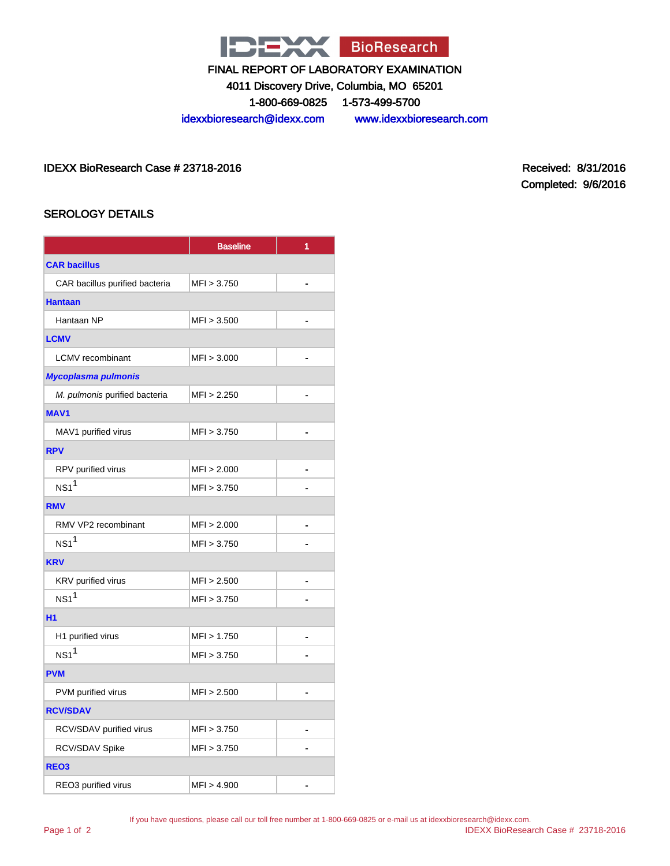

4011 Discovery Drive, Columbia, MO 65201

1-800-669-0825 1-573-499-5700

idexxbioresearch@idexx.com www.idexxbioresearch.com

IDEXX BioResearch Case # 23718-2016 Received: 8/31/2016

Completed: 9/6/2016

## SEROLOGY DETAILS

|                                | <b>Baseline</b> | 1              |  |  |
|--------------------------------|-----------------|----------------|--|--|
| <b>CAR bacillus</b>            |                 |                |  |  |
| CAR bacillus purified bacteria | MFI > 3.750     | $\blacksquare$ |  |  |
| <b>Hantaan</b>                 |                 |                |  |  |
| Hantaan NP                     | MFI > 3.500     |                |  |  |
| <b>LCMV</b>                    |                 |                |  |  |
| <b>LCMV</b> recombinant        | MFI > 3.000     | -              |  |  |
| <b>Mycoplasma pulmonis</b>     |                 |                |  |  |
| M. pulmonis purified bacteria  | MFI > 2.250     |                |  |  |
| <b>MAV1</b>                    |                 |                |  |  |
| MAV1 purified virus            | MFI > 3.750     |                |  |  |
| <b>RPV</b>                     |                 |                |  |  |
| RPV purified virus             | MFI > 2.000     |                |  |  |
| $NS1^1$                        | MFI > 3.750     |                |  |  |
| <b>RMV</b>                     |                 |                |  |  |
| RMV VP2 recombinant            | MFI > 2.000     |                |  |  |
| NS1 <sup>1</sup>               | MFI > 3.750     |                |  |  |
| <b>KRV</b>                     |                 |                |  |  |
| KRV purified virus             | MFI > 2.500     | -              |  |  |
| $NS1^1$                        | MFI > 3.750     |                |  |  |
| <b>H1</b>                      |                 |                |  |  |
| H1 purified virus              | MFI > 1.750     |                |  |  |
| NS1 <sup>1</sup>               | MFI > 3.750     |                |  |  |
| <b>PVM</b>                     |                 |                |  |  |
| PVM purified virus             | MFI > 2.500     |                |  |  |
| <b>RCV/SDAV</b>                |                 |                |  |  |
| RCV/SDAV purified virus        | MFI > 3.750     |                |  |  |
| RCV/SDAV Spike                 | MFI > 3.750     |                |  |  |
| REO <sub>3</sub>               |                 |                |  |  |
| REO3 purified virus            | MFI > 4.900     |                |  |  |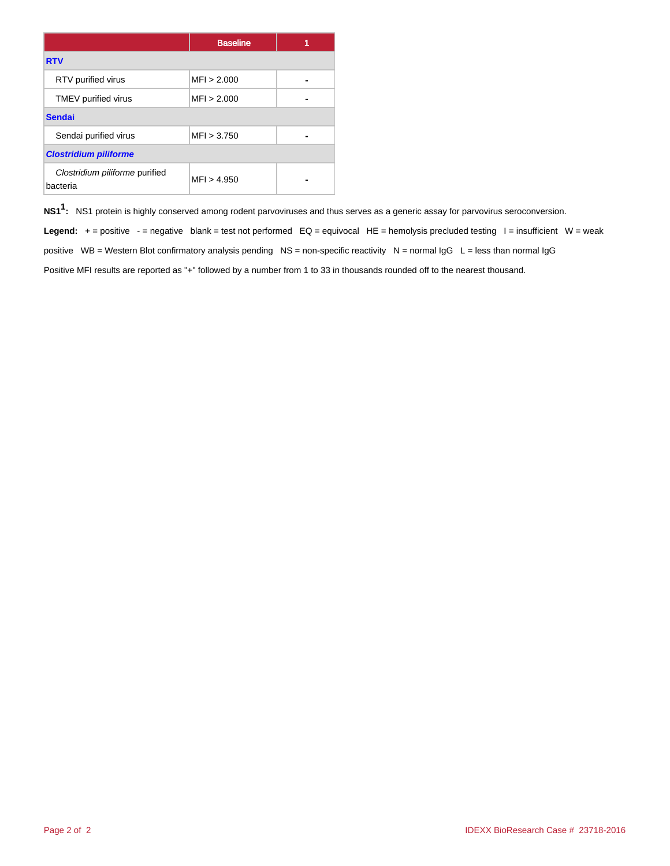|                                            | <b>Baseline</b> |  |  |
|--------------------------------------------|-----------------|--|--|
| <b>RTV</b>                                 |                 |  |  |
| RTV purified virus                         | MFI > 2.000     |  |  |
| TMEV purified virus                        | MFI > 2.000     |  |  |
| <b>Sendai</b>                              |                 |  |  |
| Sendai purified virus                      | MFI > 3.750     |  |  |
| <b>Clostridium piliforme</b>               |                 |  |  |
| Clostridium piliforme purified<br>bacteria | MFI > 4.950     |  |  |

**NS11 :** NS1 protein is highly conserved among rodent parvoviruses and thus serves as a generic assay for parvovirus seroconversion.

Legend: + = positive - = negative blank = test not performed EQ = equivocal HE = hemolysis precluded testing I = insufficient W = weak positive WB = Western Blot confirmatory analysis pending NS = non-specific reactivity N = normal  $\lg G$  L = less than normal  $\lg G$ Positive MFI results are reported as "+" followed by a number from 1 to 33 in thousands rounded off to the nearest thousand.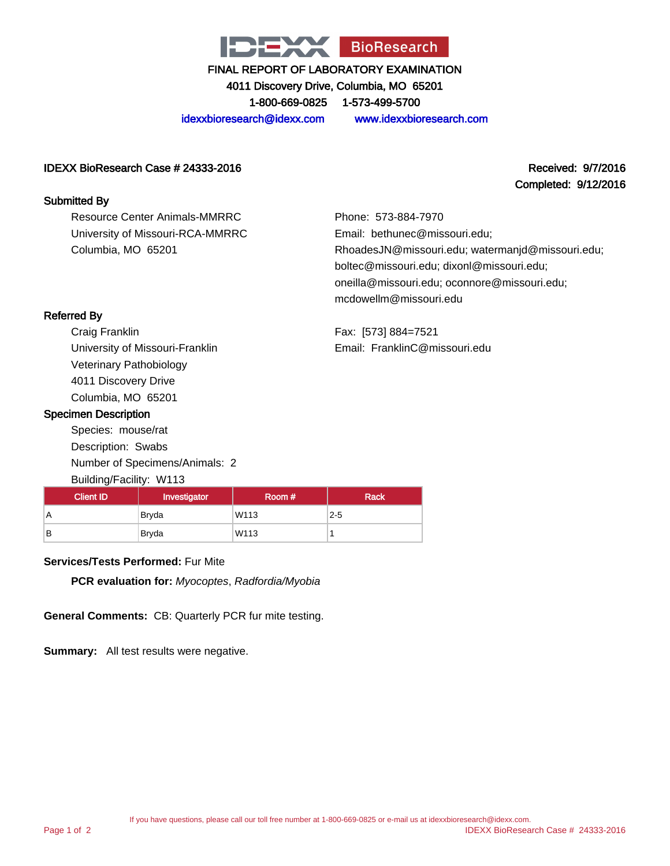

4011 Discovery Drive, Columbia, MO 65201

1-800-669-0825 1-573-499-5700

idexxbioresearch@idexx.com www.idexxbioresearch.com

### IDEXX BioResearch Case # 24333-2016 Received: 9/7/2016

#### Submitted By

Resource Center Animals-MMRRC University of Missouri-RCA-MMRRC Columbia, MO 65201

Completed: 9/12/2016

Phone: 573-884-7970 Email: bethunec@missouri.edu; RhoadesJN@missouri.edu; watermanjd@missouri.edu; boltec@missouri.edu; dixonl@missouri.edu; oneilla@missouri.edu; oconnore@missouri.edu; mcdowellm@missouri.edu

Fax: [573] 884=7521 Email: FranklinC@missouri.edu

## Referred By

Craig Franklin University of Missouri-Franklin Veterinary Pathobiology 4011 Discovery Drive Columbia, MO 65201

#### Specimen Description

Species: mouse/rat Description: Swabs Number of Specimens/Animals: 2 Building/Facility: W113

| <b>Client ID</b> | Investigator | Room# | Rack    |
|------------------|--------------|-------|---------|
| Α                | <b>Bryda</b> | W113  | $2 - 5$ |
| в                | <b>Bryda</b> | W113  |         |

## **Services/Tests Performed:** Fur Mite

**PCR evaluation for:** Myocoptes, Radfordia/Myobia

**General Comments:** CB: Quarterly PCR fur mite testing.

**Summary:** All test results were negative.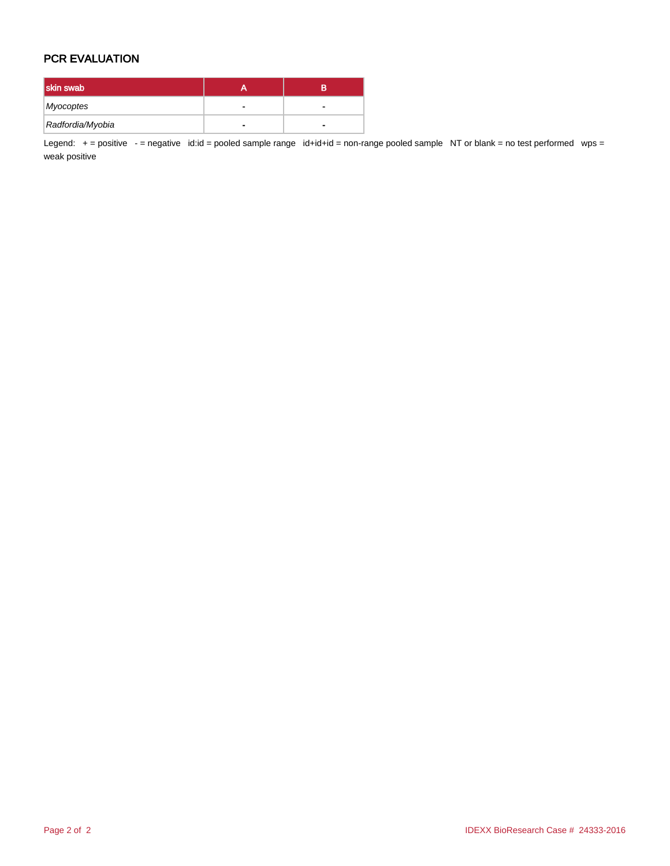## PCR EVALUATION

| skin swab        | в |
|------------------|---|
| Myocoptes        |   |
| Radfordia/Myobia | - |

Legend: + = positive - = negative id:id = pooled sample range id+id+id = non-range pooled sample NT or blank = no test performed wps = weak positive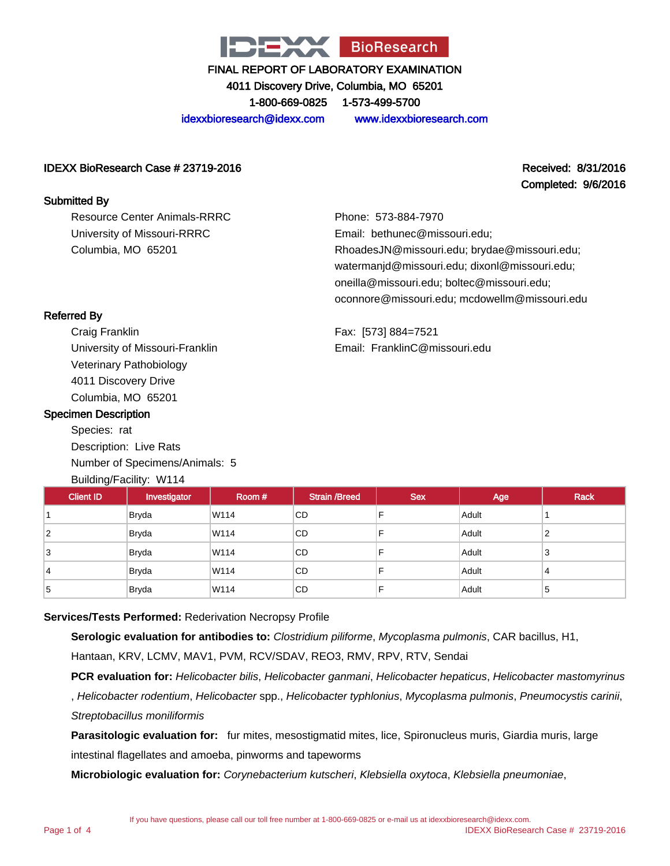

4011 Discovery Drive, Columbia, MO 65201

1-800-669-0825 1-573-499-5700

idexxbioresearch@idexx.com www.idexxbioresearch.com

#### IDEXX BioResearch Case # 23719-2016 Received: 8/31/2016

Completed: 9/6/2016

#### Submitted By

Resource Center Animals-RRRC University of Missouri-RRRC Columbia, MO 65201

Phone: 573-884-7970 Email: bethunec@missouri.edu; RhoadesJN@missouri.edu; brydae@missouri.edu; watermanjd@missouri.edu; dixonl@missouri.edu; oneilla@missouri.edu; boltec@missouri.edu; oconnore@missouri.edu; mcdowellm@missouri.edu

Fax: [573] 884=7521 Email: FranklinC@missouri.edu

## Referred By

Craig Franklin University of Missouri-Franklin Veterinary Pathobiology 4011 Discovery Drive Columbia, MO 65201

#### Specimen Description

Species: rat Description: Live Rats Number of Specimens/Animals: 5 Building/Facility: W114

| <b>Client ID</b> | Investigator | Room # | <b>Strain /Breed</b> | <b>Sex</b> | Age   | <b>Rack</b> |
|------------------|--------------|--------|----------------------|------------|-------|-------------|
|                  | Bryda        | W114   | CD                   |            | Adult |             |
| $\overline{2}$   | Bryda        | W114   | <b>CD</b>            |            | Adult | 2           |
| 3                | Bryda        | W114   | CD                   |            | Adult | 3           |
| 4                | <b>Bryda</b> | W114   | <b>CD</b>            |            | Adult | 4           |
| 5                | <b>Bryda</b> | W114   | CD                   |            | Adult | 5           |

## **Services/Tests Performed:** Rederivation Necropsy Profile

**Serologic evaluation for antibodies to:** Clostridium piliforme, Mycoplasma pulmonis, CAR bacillus, H1,

Hantaan, KRV, LCMV, MAV1, PVM, RCV/SDAV, REO3, RMV, RPV, RTV, Sendai

**PCR evaluation for:** Helicobacter bilis, Helicobacter ganmani, Helicobacter hepaticus, Helicobacter mastomyrinus

, Helicobacter rodentium, Helicobacter spp., Helicobacter typhlonius, Mycoplasma pulmonis, Pneumocystis carinii, Streptobacillus moniliformis

**Parasitologic evaluation for:** fur mites, mesostigmatid mites, lice, Spironucleus muris, Giardia muris, large intestinal flagellates and amoeba, pinworms and tapeworms

**Microbiologic evaluation for:** Corynebacterium kutscheri, Klebsiella oxytoca, Klebsiella pneumoniae,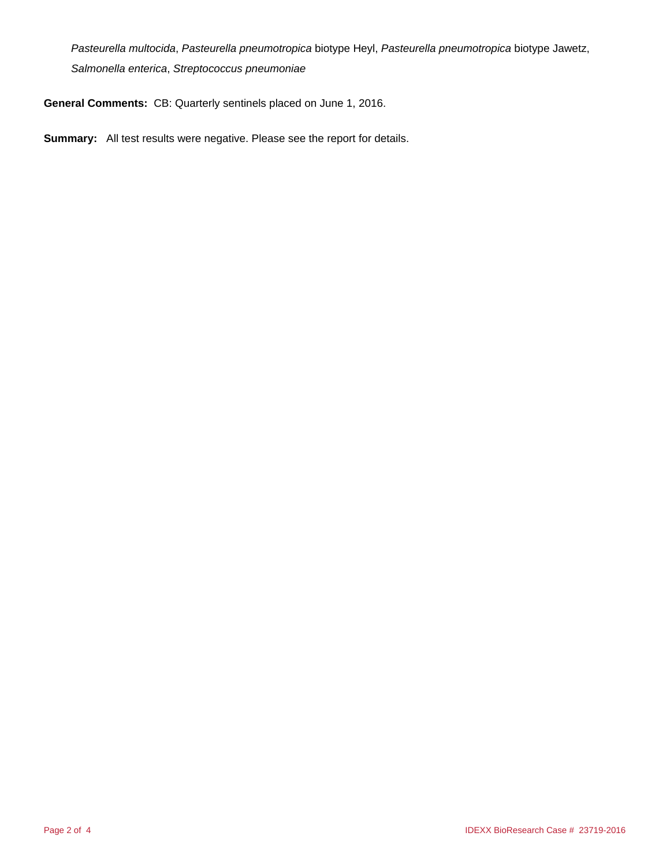Pasteurella multocida, Pasteurella pneumotropica biotype Heyl, Pasteurella pneumotropica biotype Jawetz, Salmonella enterica, Streptococcus pneumoniae

**General Comments:** CB: Quarterly sentinels placed on June 1, 2016.

**Summary:** All test results were negative. Please see the report for details.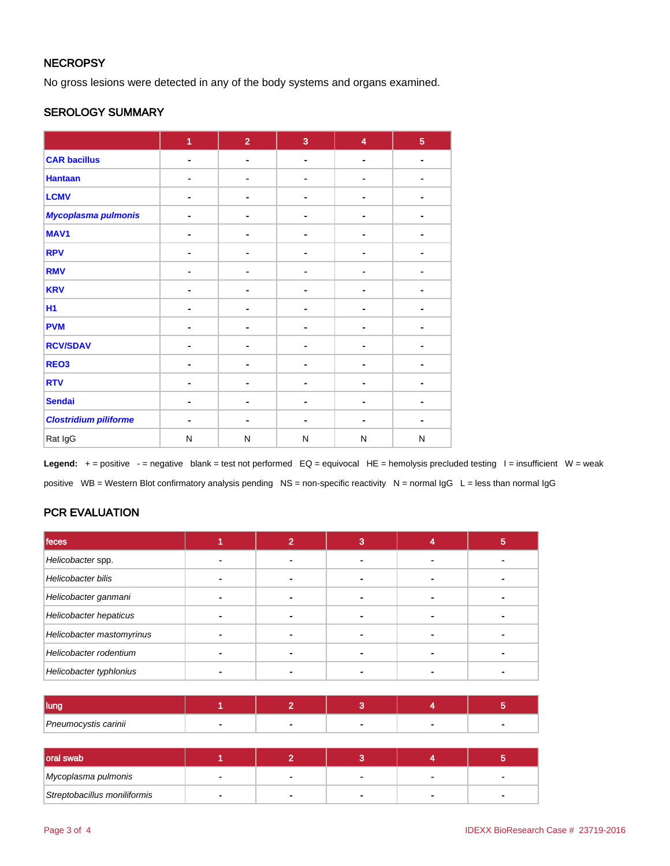## **NECROPSY**

No gross lesions were detected in any of the body systems and organs examined.

### SEROLOGY SUMMARY

|                              | $\overline{1}$ | $\overline{2}$ | $\overline{3}$ | $\overline{\mathbf{4}}$ | $\overline{5}$ |
|------------------------------|----------------|----------------|----------------|-------------------------|----------------|
| <b>CAR bacillus</b>          | $\blacksquare$ | $\blacksquare$ | $\blacksquare$ | $\blacksquare$          | $\blacksquare$ |
| <b>Hantaan</b>               |                | ۰              |                |                         |                |
| <b>LCMV</b>                  |                | -              |                |                         |                |
| Mycoplasma pulmonis          |                | ۰              |                |                         |                |
| MAV1                         | ۰              | ٠              |                | ٠                       |                |
| <b>RPV</b>                   |                | -              |                | ä,                      |                |
| <b>RMV</b>                   |                | $\blacksquare$ |                |                         | ٠              |
| <b>KRV</b>                   |                | ۰              |                |                         |                |
| <b>H1</b>                    |                | -              |                |                         |                |
| <b>PVM</b>                   | $\blacksquare$ | ٠              | ۰.             | $\blacksquare$          |                |
| <b>RCV/SDAV</b>              |                | ۰              |                |                         |                |
| REO <sub>3</sub>             |                |                |                |                         |                |
| <b>RTV</b>                   |                | ٠              |                |                         |                |
| <b>Sendai</b>                |                | ۰              |                |                         |                |
| <b>Clostridium piliforme</b> |                | ۰              | -              | ٠                       | $\blacksquare$ |
| Rat IgG                      | N              | N              | $\mathsf{N}$   | ${\sf N}$               | N              |

Legend: + = positive - = negative blank = test not performed EQ = equivocal HE = hemolysis precluded testing I = insufficient W = weak positive WB = Western Blot confirmatory analysis pending NS = non-specific reactivity N = normal IgG L = less than normal IgG

# PCR EVALUATION

| feces                     |  | 3 | ю |
|---------------------------|--|---|---|
| Helicobacter spp.         |  |   |   |
| Helicobacter bilis        |  |   |   |
| Helicobacter ganmani      |  |   |   |
| Helicobacter hepaticus    |  |   |   |
| Helicobacter mastomyrinus |  |   |   |
| Helicobacter rodentium    |  |   |   |
| Helicobacter typhlonius   |  |   |   |

| <b>lung</b>          |  |  |  |
|----------------------|--|--|--|
| Pneumocystis carinii |  |  |  |

| oral swab                    |  |  |  |
|------------------------------|--|--|--|
| Mycoplasma pulmonis          |  |  |  |
| Streptobacillus moniliformis |  |  |  |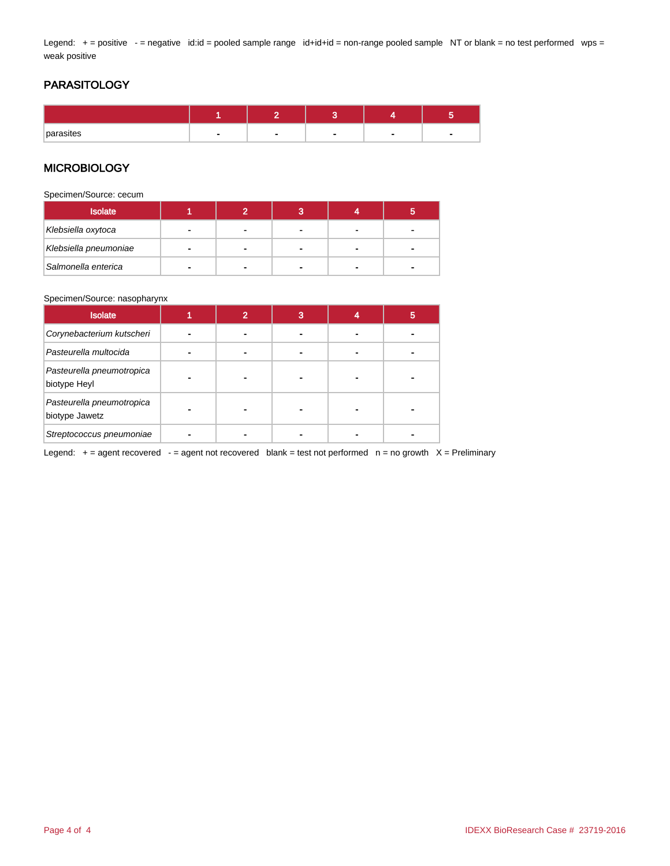Legend: + = positive - = negative id:id = pooled sample range id+id+id = non-range pooled sample NT or blank = no test performed wps = weak positive

# PARASITOLOGY

| parasites | - | - | $\sim$ | $\overline{\phantom{a}}$ |  |
|-----------|---|---|--------|--------------------------|--|

### **MICROBIOLOGY**

Specimen/Source: cecum

| <b>Isolate</b>        |  | o<br>ю |  |
|-----------------------|--|--------|--|
| Klebsiella oxytoca    |  |        |  |
| Klebsiella pneumoniae |  |        |  |
| Salmonella enterica   |  |        |  |

#### Specimen/Source: nasopharynx

| <b>Isolate</b>                              | 2 | 3 | 5 |
|---------------------------------------------|---|---|---|
| Corynebacterium kutscheri                   |   |   |   |
| Pasteurella multocida                       |   |   |   |
| Pasteurella pneumotropica<br>biotype Heyl   |   |   |   |
| Pasteurella pneumotropica<br>biotype Jawetz |   |   |   |
| Streptococcus pneumoniae                    |   |   |   |

Legend:  $+$  = agent recovered  $-$  = agent not recovered blank = test not performed  $n$  = no growth  $X$  = Preliminary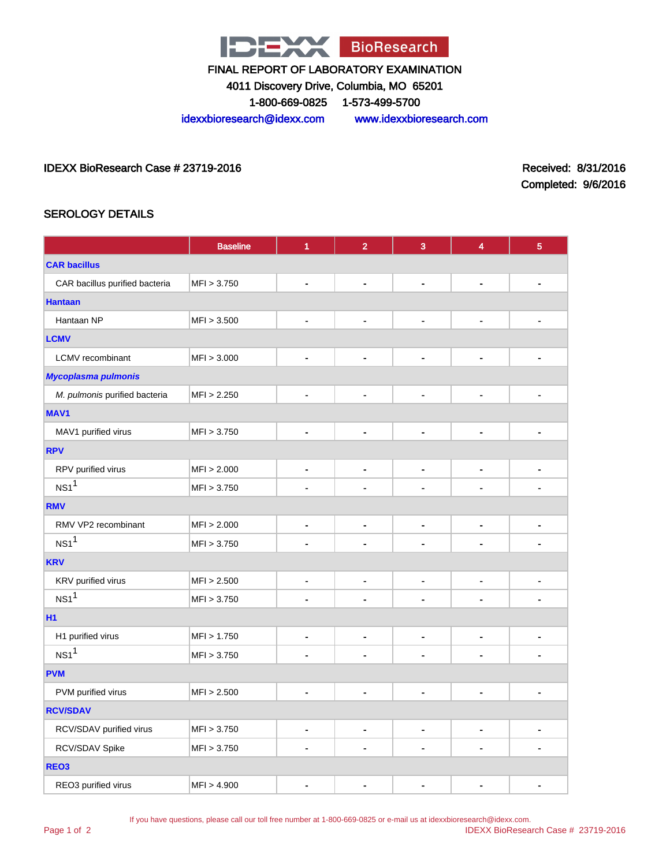

4011 Discovery Drive, Columbia, MO 65201

1-800-669-0825 1-573-499-5700

idexxbioresearch@idexx.com www.idexxbioresearch.com

IDEXX BioResearch Case # 23719-2016 Received: 8/31/2016

Completed: 9/6/2016

## SEROLOGY DETAILS

|                                | <b>Baseline</b> | 1                            | $\overline{2}$ | 3                        | $\overline{4}$           | $5\phantom{1}$ |
|--------------------------------|-----------------|------------------------------|----------------|--------------------------|--------------------------|----------------|
| <b>CAR bacillus</b>            |                 |                              |                |                          |                          |                |
| CAR bacillus purified bacteria | MFI > 3.750     | ۰                            | $\blacksquare$ | ٠                        | ÷                        |                |
| <b>Hantaan</b>                 |                 |                              |                |                          |                          |                |
| Hantaan NP                     | MFI > 3.500     | $\blacksquare$               | $\blacksquare$ | $\blacksquare$           | $\blacksquare$           |                |
| <b>LCMV</b>                    |                 |                              |                |                          |                          |                |
| <b>LCMV</b> recombinant        | MFI > 3.000     | $\qquad \qquad \blacksquare$ | ٠              | $\overline{\phantom{a}}$ | $\overline{\phantom{0}}$ | $\blacksquare$ |
| Mycoplasma pulmonis            |                 |                              |                |                          |                          |                |
| M. pulmonis purified bacteria  | MFI > 2.250     | ۰                            | ٠              | ٠                        | ٠                        |                |
| MAV1                           |                 |                              |                |                          |                          |                |
| MAV1 purified virus            | MFI > 3.750     | $\blacksquare$               | ×,             | ÷                        | ä,                       | $\blacksquare$ |
| <b>RPV</b>                     |                 |                              |                |                          |                          |                |
| RPV purified virus             | MFI > 2.000     | $\qquad \qquad \blacksquare$ | $\blacksquare$ | -                        | -                        | $\blacksquare$ |
| $NS1$ <sup>1</sup>             | MFI > 3.750     | ä.                           |                |                          |                          |                |
| <b>RMV</b>                     |                 |                              |                |                          |                          |                |
| RMV VP2 recombinant            | MFI > 2.000     | $\qquad \qquad \blacksquare$ | $\blacksquare$ | $\overline{\phantom{a}}$ | $\overline{\phantom{0}}$ | $\blacksquare$ |
| NS1 <sup>1</sup>               | MFI > 3.750     |                              |                |                          |                          |                |
| <b>KRV</b>                     |                 |                              |                |                          |                          |                |
| KRV purified virus             | MFI > 2.500     | $\qquad \qquad \blacksquare$ | $\blacksquare$ | -                        | -                        | -              |
| NS1 <sup>1</sup>               | MFI > 3.750     |                              |                |                          |                          |                |
| H1                             |                 |                              |                |                          |                          |                |
| H1 purified virus              | MFI > 1.750     |                              | $\overline{a}$ | ÷                        | L,                       |                |
| NS1 <sup>1</sup>               | MFI > 3.750     | ٠                            |                | ۰                        | ÷                        | $\blacksquare$ |
| <b>PVM</b>                     |                 |                              |                |                          |                          |                |
| PVM purified virus             | MFI > 2.500     | -                            | $\blacksquare$ | -                        | $\blacksquare$           |                |
| <b>RCV/SDAV</b>                |                 |                              |                |                          |                          |                |
| RCV/SDAV purified virus        | MFI > 3.750     | $\qquad \qquad \blacksquare$ | $\blacksquare$ | -                        | ۰                        | $\blacksquare$ |
| RCV/SDAV Spike                 | MFI > 3.750     |                              |                |                          |                          |                |
| REO <sub>3</sub>               |                 |                              |                |                          |                          |                |
| REO3 purified virus            | MFI > 4.900     |                              |                |                          |                          |                |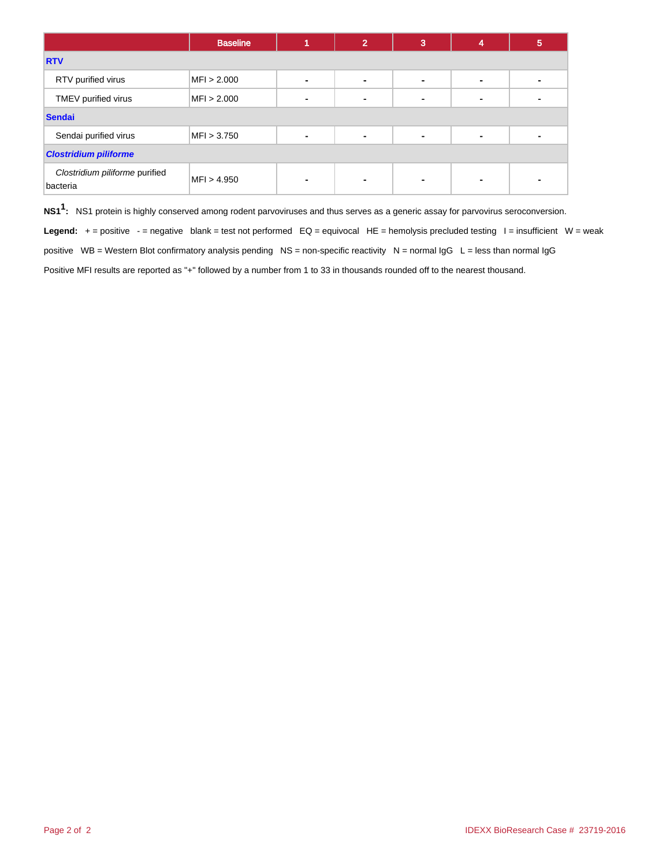|                                            | <b>Baseline</b> |                | 2 | 3 | 4              | 5 |  |  |
|--------------------------------------------|-----------------|----------------|---|---|----------------|---|--|--|
| <b>RTV</b>                                 |                 |                |   |   |                |   |  |  |
| RTV purified virus                         | MFI > 2.000     | $\blacksquare$ |   | - | $\blacksquare$ |   |  |  |
| TMEV purified virus                        | MFI > 2.000     | ٠              |   |   | $\blacksquare$ |   |  |  |
| <b>Sendai</b>                              |                 |                |   |   |                |   |  |  |
| Sendai purified virus                      | MFI > 3.750     | ۰              |   | ٠ | ٠              |   |  |  |
| <b>Clostridium piliforme</b>               |                 |                |   |   |                |   |  |  |
| Clostridium piliforme purified<br>bacteria | MFI > 4.950     | ٠              |   |   | $\blacksquare$ |   |  |  |

**NS11 :** NS1 protein is highly conserved among rodent parvoviruses and thus serves as a generic assay for parvovirus seroconversion.

Legend: + = positive - = negative blank = test not performed EQ = equivocal HE = hemolysis precluded testing I = insufficient W = weak positive WB = Western Blot confirmatory analysis pending NS = non-specific reactivity N = normal IgG L = less than normal IgG Positive MFI results are reported as "+" followed by a number from 1 to 33 in thousands rounded off to the nearest thousand.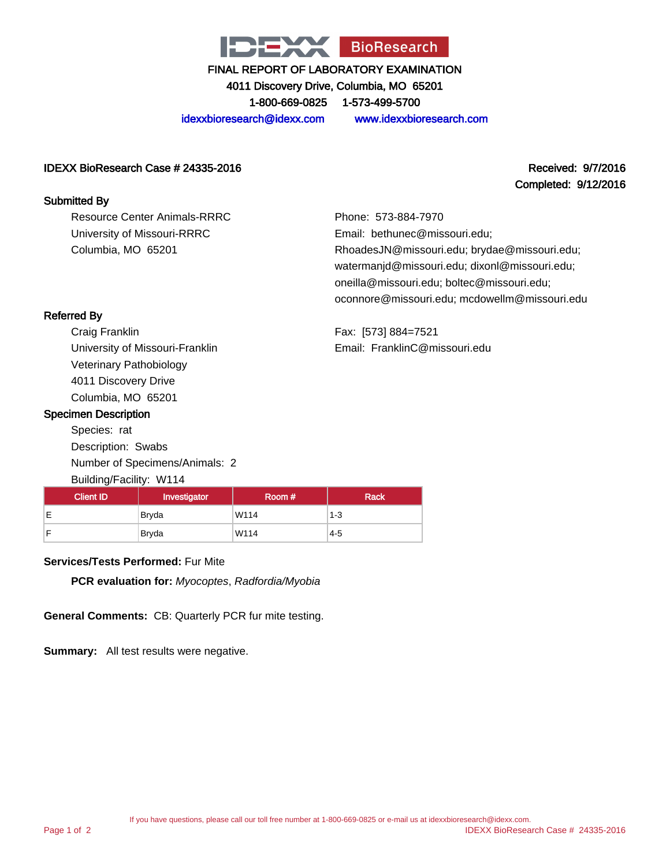

4011 Discovery Drive, Columbia, MO 65201

1-800-669-0825 1-573-499-5700

idexxbioresearch@idexx.com www.idexxbioresearch.com

#### IDEXX BioResearch Case # 24335-2016 Received: 9/7/2016

# Completed: 9/12/2016

#### Submitted By

Resource Center Animals-RRRC University of Missouri-RRRC Columbia, MO 65201

Phone: 573-884-7970 Email: bethunec@missouri.edu; RhoadesJN@missouri.edu; brydae@missouri.edu; watermanjd@missouri.edu; dixonl@missouri.edu; oneilla@missouri.edu; boltec@missouri.edu; oconnore@missouri.edu; mcdowellm@missouri.edu

Fax: [573] 884=7521 Email: FranklinC@missouri.edu

## Referred By

Craig Franklin University of Missouri-Franklin Veterinary Pathobiology 4011 Discovery Drive Columbia, MO 65201

### Specimen Description

Species: rat Description: Swabs Number of Specimens/Animals: 2 Building/Facility: W114

| <b>Client ID</b> | Investigator | Room # | Rack    |
|------------------|--------------|--------|---------|
| -                | Bryda        | W114   | $1 - 3$ |
|                  | Bryda        | W114   | $4 - 5$ |

## **Services/Tests Performed:** Fur Mite

**PCR evaluation for:** Myocoptes, Radfordia/Myobia

**General Comments:** CB: Quarterly PCR fur mite testing.

**Summary:** All test results were negative.